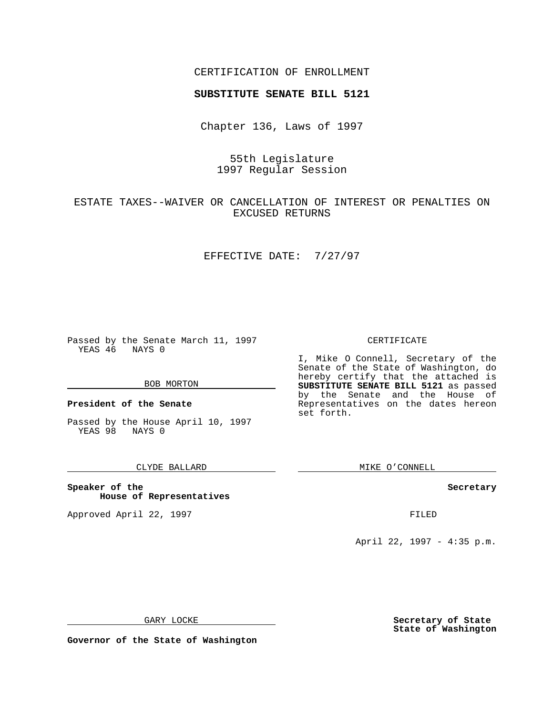### CERTIFICATION OF ENROLLMENT

# **SUBSTITUTE SENATE BILL 5121**

Chapter 136, Laws of 1997

# 55th Legislature 1997 Regular Session

# ESTATE TAXES--WAIVER OR CANCELLATION OF INTEREST OR PENALTIES ON EXCUSED RETURNS

### EFFECTIVE DATE: 7/27/97

Passed by the Senate March 11, 1997 YEAS 46 NAYS 0

#### BOB MORTON

**President of the Senate**

Passed by the House April 10, 1997 YEAS 98 NAYS 0

### CLYDE BALLARD

**Speaker of the House of Representatives**

Approved April 22, 1997 FILED

### CERTIFICATE

I, Mike O Connell, Secretary of the Senate of the State of Washington, do hereby certify that the attached is **SUBSTITUTE SENATE BILL 5121** as passed by the Senate and the House of Representatives on the dates hereon set forth.

MIKE O'CONNELL

### **Secretary**

April 22, 1997 - 4:35 p.m.

GARY LOCKE

**Governor of the State of Washington**

**Secretary of State State of Washington**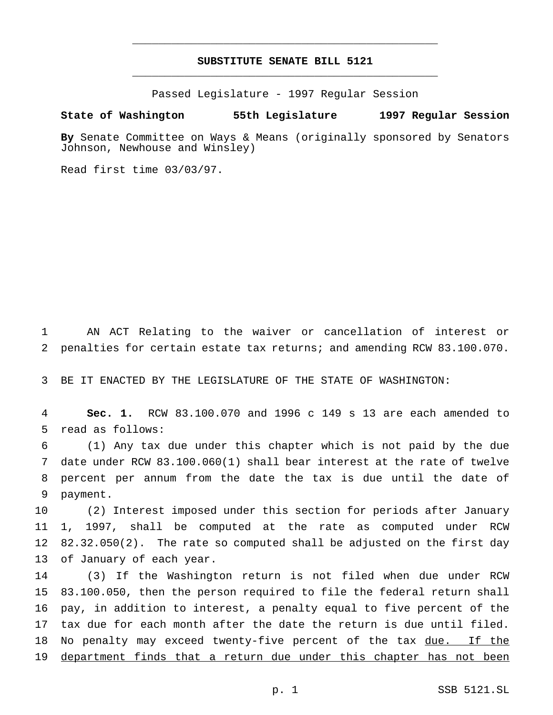## **SUBSTITUTE SENATE BILL 5121** \_\_\_\_\_\_\_\_\_\_\_\_\_\_\_\_\_\_\_\_\_\_\_\_\_\_\_\_\_\_\_\_\_\_\_\_\_\_\_\_\_\_\_\_\_\_\_

\_\_\_\_\_\_\_\_\_\_\_\_\_\_\_\_\_\_\_\_\_\_\_\_\_\_\_\_\_\_\_\_\_\_\_\_\_\_\_\_\_\_\_\_\_\_\_

Passed Legislature - 1997 Regular Session

### **State of Washington 55th Legislature 1997 Regular Session**

**By** Senate Committee on Ways & Means (originally sponsored by Senators Johnson, Newhouse and Winsley)

Read first time 03/03/97.

 AN ACT Relating to the waiver or cancellation of interest or penalties for certain estate tax returns; and amending RCW 83.100.070.

BE IT ENACTED BY THE LEGISLATURE OF THE STATE OF WASHINGTON:

 **Sec. 1.** RCW 83.100.070 and 1996 c 149 s 13 are each amended to read as follows:

 (1) Any tax due under this chapter which is not paid by the due date under RCW 83.100.060(1) shall bear interest at the rate of twelve percent per annum from the date the tax is due until the date of payment.

 (2) Interest imposed under this section for periods after January 1, 1997, shall be computed at the rate as computed under RCW 82.32.050(2). The rate so computed shall be adjusted on the first day of January of each year.

 (3) If the Washington return is not filed when due under RCW 83.100.050, then the person required to file the federal return shall pay, in addition to interest, a penalty equal to five percent of the tax due for each month after the date the return is due until filed. 18 No penalty may exceed twenty-five percent of the tax due. If the department finds that a return due under this chapter has not been